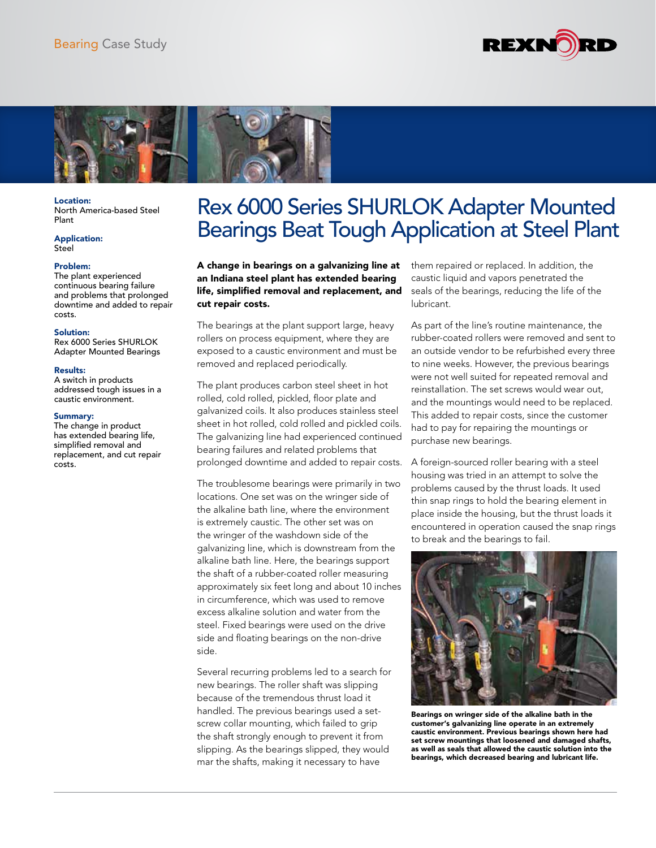



Location: North America-based Steel Plant

#### Application: Steel

## Problem:

The plant experienced continuous bearing failure and problems that prolonged downtime and added to repair costs.

#### Solution:

Rex 6000 Series SHURLOK Adapter Mounted Bearings

#### Results:

A switch in products addressed tough issues in a caustic environment.

## Summary:

The change in product has extended bearing life, simplified removal and replacement, and cut repair costs.

# Rex 6000 Series SHURLOK Adapter Mounted Bearings Beat Tough Application at Steel Plant

A change in bearings on a galvanizing line at an Indiana steel plant has extended bearing life, simplified removal and replacement, and cut repair costs.

The bearings at the plant support large, heavy rollers on process equipment, where they are exposed to a caustic environment and must be removed and replaced periodically.

The plant produces carbon steel sheet in hot rolled, cold rolled, pickled, floor plate and galvanized coils. It also produces stainless steel sheet in hot rolled, cold rolled and pickled coils. The galvanizing line had experienced continued bearing failures and related problems that prolonged downtime and added to repair costs.

The troublesome bearings were primarily in two locations. One set was on the wringer side of the alkaline bath line, where the environment is extremely caustic. The other set was on the wringer of the washdown side of the galvanizing line, which is downstream from the alkaline bath line. Here, the bearings support the shaft of a rubber-coated roller measuring approximately six feet long and about 10 inches in circumference, which was used to remove excess alkaline solution and water from the steel. Fixed bearings were used on the drive side and floating bearings on the non-drive side.

Several recurring problems led to a search for new bearings. The roller shaft was slipping because of the tremendous thrust load it handled. The previous bearings used a setscrew collar mounting, which failed to grip the shaft strongly enough to prevent it from slipping. As the bearings slipped, they would mar the shafts, making it necessary to have

them repaired or replaced. In addition, the caustic liquid and vapors penetrated the seals of the bearings, reducing the life of the lubricant.

As part of the line's routine maintenance, the rubber-coated rollers were removed and sent to an outside vendor to be refurbished every three to nine weeks. However, the previous bearings were not well suited for repeated removal and reinstallation. The set screws would wear out, and the mountings would need to be replaced. This added to repair costs, since the customer had to pay for repairing the mountings or purchase new bearings.

A foreign-sourced roller bearing with a steel housing was tried in an attempt to solve the problems caused by the thrust loads. It used thin snap rings to hold the bearing element in place inside the housing, but the thrust loads it encountered in operation caused the snap rings to break and the bearings to fail.



Bearings on wringer side of the alkaline bath in the customer's galvanizing line operate in an extremely caustic environment. Previous bearings shown here had set screw mountings that loosened and damaged shafts, as well as seals that allowed the caustic solution into the bearings, which decreased bearing and lubricant life.